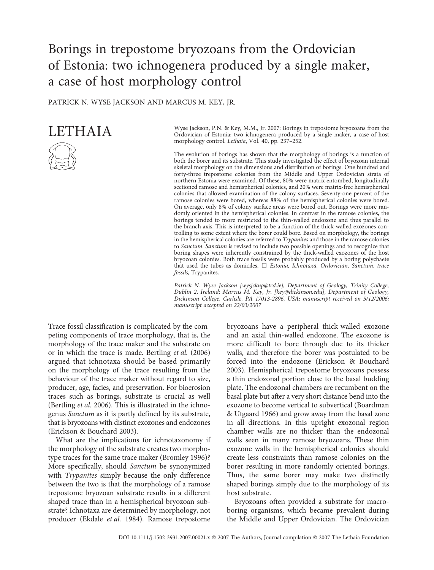# Borings in trepostome bryozoans from the Ordovician of Estonia: two ichnogenera produced by a single maker, a case of host morphology control

PATRICK N. WYSE JACKSON AND MARCUS M. KEY, JR.

LETHAIA

Wyse Jackson, P.N. & Key, M.M., Jr. 2007: Borings in trepostome bryozoans from the Ordovician of Estonia: two ichnogenera produced by a single maker, a case of host morphology control. *Lethaia*, Vol. 40, pp. 237–252.

The evolution of borings has shown that the morphology of borings is a function of both the borer and its substrate. This study investigated the effect of bryozoan internal skeletal morphology on the dimensions and distribution of borings. One hundred and forty-three trepostome colonies from the Middle and Upper Ordovician strata of northern Estonia were examined. Of these, 80% were matrix entombed, longitudinally sectioned ramose and hemispherical colonies, and 20% were matrix-free hemispherical colonies that allowed examination of the colony surfaces. Seventy-one percent of the ramose colonies were bored, whereas 88% of the hemispherical colonies were bored. On average, only 8% of colony surface areas were bored out. Borings were more randomly oriented in the hemispherical colonies. In contrast in the ramose colonies, the borings tended to more restricted to the thin-walled endozone and thus parallel to the branch axis. This is interpreted to be a function of the thick-walled exozones controlling to some extent where the borer could bore. Based on morphology, the borings in the hemispherical colonies are referred to *Trypanites* and those in the ramose colonies to *Sanctum*. *Sanctum* is revised to include two possible openings and to recognize that boring shapes were inherently constrained by the thick-walled exozones of the host bryozoan colonies. Both trace fossils were probably produced by a boring polychaete that used the tubes as domiciles. *Estonia, Ichnotaxa, Ordovician, Sanctum, trace fossils,* Trypanites.

*Patrick N. Wyse Jackson [wysjcknp@tcd.ie], Department of Geology, Trinity College, Dublin 2, Ireland; Marcus M. Key, Jr. [key@dickinson.edu], Department of Geology, Dickinson College, Carlisle, PA 17013-2896, USA; manuscript received on 5/12/2006; manuscript accepted on 22/03/2007*

Trace fossil classification is complicated by the competing components of trace morphology, that is, the morphology of the trace maker and the substrate on or in which the trace is made. Bertling *et al.* (2006) argued that ichnotaxa should be based primarily on the morphology of the trace resulting from the behaviour of the trace maker without regard to size, producer, age, facies, and preservation. For bioerosion traces such as borings, substrate is crucial as well (Bertling *et al.* 2006). This is illustrated in the ichnogenus *Sanctum* as it is partly defined by its substrate, that is bryozoans with distinct exozones and endozones (Erickson & Bouchard 2003).

What are the implications for ichnotaxonomy if the morphology of the substrate creates two morphotype traces for the same trace maker (Bromley 1996)? More specifically, should *Sanctum* be synonymized with *Trypanites* simply because the only difference between the two is that the morphology of a ramose trepostome bryozoan substrate results in a different shaped trace than in a hemispherical bryozoan substrate? Ichnotaxa are determined by morphology, not producer (Ekdale *et al.* 1984). Ramose trepostome

bryozoans have a peripheral thick-walled exozone and an axial thin-walled endozone. The exozone is more difficult to bore through due to its thicker walls, and therefore the borer was postulated to be forced into the endozone (Erickson & Bouchard 2003). Hemispherical trepostome bryozoans possess a thin endozonal portion close to the basal budding plate. The endozonal chambers are recumbent on the basal plate but after a very short distance bend into the exozone to become vertical to subvertical (Boardman & Utgaard 1966) and grow away from the basal zone in all directions. In this upright exozonal region chamber walls are no thicker than the endozonal walls seen in many ramose bryozoans. These thin exozone walls in the hemispherical colonies should create less constraints than ramose colonies on the borer resulting in more randomly oriented borings. Thus, the same borer may make two distinctly shaped borings simply due to the morphology of its host substrate.

Bryozoans often provided a substrate for macroboring organisms, which became prevalent during the Middle and Upper Ordovician. The Ordovician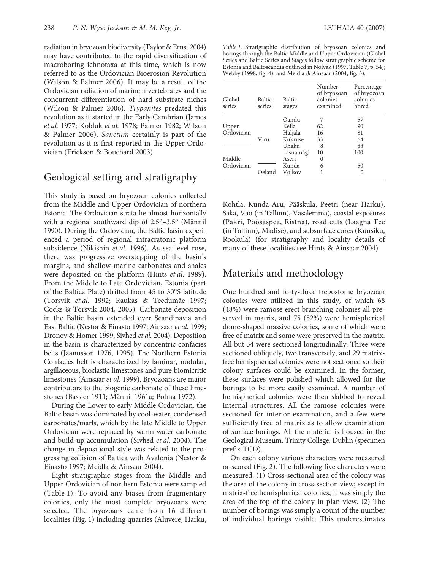radiation in bryozoan biodiversity (Taylor & Ernst 2004) may have contributed to the rapid diversification of macroboring ichnotaxa at this time, which is now referred to as the Ordovician Bioerosion Revolution (Wilson & Palmer 2006). It may be a result of the Ordovician radiation of marine invertebrates and the concurrent differentiation of hard substrate niches (Wilson & Palmer 2006). *Trypanites* predated this revolution as it started in the Early Cambrian (James *et al.* 1977; Kobluk *et al.* 1978; Palmer 1982; Wilson & Palmer 2006). *Sanctum* certainly is part of the revolution as it is first reported in the Upper Ordovician (Erickson & Bouchard 2003).

## Geological setting and stratigraphy

This study is based on bryozoan colonies collected from the Middle and Upper Ordovician of northern Estonia. The Ordovician strata lie almost horizontally with a regional southward dip of 2.5°–3.5° (Männil 1990). During the Ordovician, the Baltic basin experienced a period of regional intracratonic platform subsidence (Nikishin *et al*. 1996). As sea level rose, there was progressive overstepping of the basin's margins, and shallow marine carbonates and shales were deposited on the platform (Hints *et al*. 1989). From the Middle to Late Ordovician, Estonia (part of the Baltica Plate) drifted from 45 to 30°S latitude (Torsvik *et al.* 1992; Raukas & Teedumäe 1997; Cocks & Torsvik 2004, 2005). Carbonate deposition in the Baltic basin extended over Scandinavia and East Baltic (Nestor & Einasto 1997; Ainsaar *et al*. 1999; Dronov & Homer 1999; Sivhed *et al.* 2004). Deposition in the basin is characterized by concentric confacies belts (Jaanusson 1976, 1995). The Northern Estonia Confacies belt is characterized by laminar, nodular, argillaceous, bioclastic limestones and pure biomicritic limestones (Ainsaar *et al*. 1999). Bryozoans are major contributors to the biogenic carbonate of these limestones (Bassler 1911; Männil 1961a; Polma 1972).

During the Lower to early Middle Ordovician, the Baltic basin was dominated by cool-water, condensed carbonates/marls, which by the late Middle to Upper Ordovician were replaced by warm water carbonate and build-up accumulation (Sivhed *et al.* 2004). The change in depositional style was related to the progressing collision of Baltica with Avalonia (Nestor & Einasto 1997; Meidla & Ainsaar 2004).

Eight stratigraphic stages from the Middle and Upper Ordovician of northern Estonia were sampled (Table 1). To avoid any biases from fragmentary colonies, only the most complete bryozoans were selected. The bryozoans came from 16 different localities (Fig. 1) including quarries (Aluvere, Harku, *Table 1.* Stratigraphic distribution of bryozoan colonies and borings through the Baltic Middle and Upper Ordovician (Global Series and Baltic Series and Stages follow stratigraphic scheme for Estonia and Baltoscandia outlined in Nõlvak (1997, Table 7, p. 54); Webby (1998, fig. 4); and Meidla & Ainsaar (2004, fig. 3).

| Global<br>series | Baltic<br>series | Baltic<br>stages | Number<br>of bryozoan<br>colonies<br>examined | Percentage<br>of bryozoan<br>colonies<br>bored |
|------------------|------------------|------------------|-----------------------------------------------|------------------------------------------------|
|                  |                  | Oandu            |                                               | 57                                             |
| Upper            |                  | Keila            | 62                                            | 90                                             |
| Ordovician       |                  | Haljala          | 16                                            | 81                                             |
|                  | Viru             | Kukruse          | 33                                            | 64                                             |
|                  |                  | Uhaku            | 8                                             | 88                                             |
|                  |                  | Lasnamägi        | 10                                            | 100                                            |
| Middle           |                  | Aseri            | $\mathbf{0}$                                  |                                                |
| Ordovician       |                  | Kunda            | 6                                             | 50                                             |
|                  | Oeland           | Volkov           |                                               | 0                                              |

Kohtla, Kunda-Aru, Pääskula, Peetri (near Harku), Saka, Väo (in Tallinn), Vasalemma), coastal exposures (Pakri, Põõsaspea, Ristna), road cuts (Laagna Tee (in Tallinn), Madise), and subsurface cores (Kuusiku, Rooküla) (for stratigraphy and locality details of many of these localities see Hints & Ainsaar 2004).

## Materials and methodology

One hundred and forty-three trepostome bryozoan colonies were utilized in this study, of which 68 (48%) were ramose erect branching colonies all preserved in matrix, and 75 (52%) were hemispherical dome-shaped massive colonies, some of which were free of matrix and some were preserved in the matrix. All but 34 were sectioned longitudinally. Three were sectioned obliquely, two transversely, and 29 matrixfree hemispherical colonies were not sectioned so their colony surfaces could be examined. In the former, these surfaces were polished which allowed for the borings to be more easily examined. A number of hemispherical colonies were then slabbed to reveal internal structures. All the ramose colonies were sectioned for interior examination, and a few were sufficiently free of matrix as to allow examination of surface borings. All the material is housed in the Geological Museum, Trinity College, Dublin (specimen prefix TCD).

On each colony various characters were measured or scored (Fig. 2). The following five characters were measured: (1) Cross-sectional area of the colony was the area of the colony in cross-section view; except in matrix-free hemispherical colonies, it was simply the area of the top of the colony in plan view. (2) The number of borings was simply a count of the number of individual borings visible. This underestimates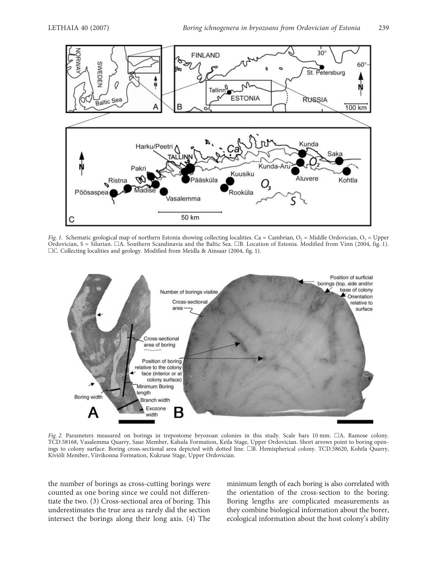

*Fig. 1.* Schematic geological map of northern Estonia showing collecting localities. Ca = Cambrian,  $O_2$  = Middle Ordovician,  $O_3$  = Upper Ordovician, S = Silurian.  $\Box A$ . Southern Scandinavia and the Baltic Sea.  $\Box B$ . Location of Estonia. Modified from Vinn (2004, fig. 1). C. Collecting localities and geology. Modified from Meidla & Ainsaar (2004, fig. 1).



*Fig. 2.* Parameters measured on borings in trepostome bryozoan colonies in this study. Scale bars 10 mm.  $\Box A$ . Ramose colony. TCD.58168, Vasalemma Quarry, Saue Member, Kahula Formation, Keila Stage, Upper Ordovician. Short arrows point to boring openings to colony surface. Boring cross-sectional area depicted with dotted line.  $\Box$ B. Hemispherical colony. TCD.58620, Kohtla Quarry, Kiviõli Member, Viivikonna Formation, Kukruse Stage, Upper Ordovician.

the number of borings as cross-cutting borings were counted as one boring since we could not differentiate the two. (3) Cross-sectional area of boring. This underestimates the true area as rarely did the section intersect the borings along their long axis. (4) The minimum length of each boring is also correlated with the orientation of the cross-section to the boring. Boring lengths are complicated measurements as they combine biological information about the borer, ecological information about the host colony's ability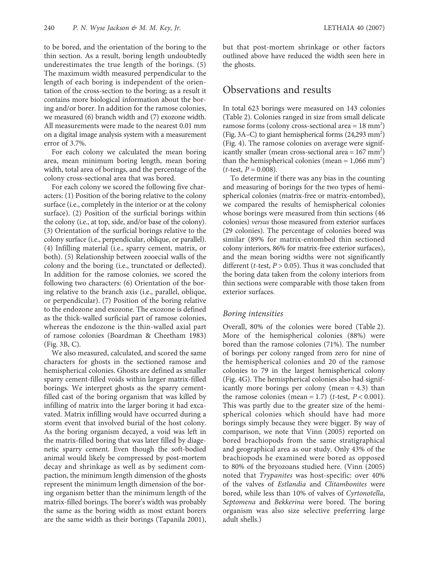to be bored, and the orientation of the boring to the thin section. As a result, boring length undoubtedly underestimates the true length of the borings. (5) The maximum width measured perpendicular to the length of each boring is independent of the orientation of the cross-section to the boring; as a result it contains more biological information about the boring and/or borer. In addition for the ramose colonies, we measured (6) branch width and (7) exozone width. All measurements were made to the nearest 0.01 mm on a digital image analysis system with a measurement error of 3.7%.

For each colony we calculated the mean boring area, mean minimum boring length, mean boring width, total area of borings, and the percentage of the colony cross-sectional area that was bored.

For each colony we scored the following five characters: (1) Position of the boring relative to the colony surface (i.e., completely in the interior or at the colony surface). (2) Position of the surficial borings within the colony (i.e., at top, side, and/or base of the colony). (3) Orientation of the surficial borings relative to the colony surface (i.e., perpendicular, oblique, or parallel). (4) Infilling material (i.e., sparry cement, matrix, or both). (5) Relationship between zooecial walls of the colony and the boring (i.e., trunctated or deflected). In addition for the ramose colonies, we scored the following two characters: (6) Orientation of the boring relative to the branch axis (i.e., parallel, oblique, or perpendicular). (7) Position of the boring relative to the endozone and exozone. The exozone is defined as the thick-walled surficial part of ramose colonies, whereas the endozone is the thin-walled axial part of ramose colonies (Boardman & Cheetham 1983) (Fig. 3B, C).

We also measured, calculated, and scored the same characters for ghosts in the sectioned ramose and hemispherical colonies. Ghosts are defined as smaller sparry cement-filled voids within larger matrix-filled borings. We interpret ghosts as the sparry cementfilled cast of the boring organism that was killed by infilling of matrix into the larger boring it had excavated. Matrix infilling would have occurred during a storm event that involved burial of the host colony. As the boring organism decayed, a void was left in the matrix-filled boring that was later filled by diagenetic sparry cement. Even though the soft-bodied animal would likely be compressed by post-mortem decay and shrinkage as well as by sediment compaction, the minimum length dimension of the ghosts represent the minimum length dimension of the boring organism better than the minimum length of the matrix-filled borings. The borer's width was probably the same as the boring width as most extant borers are the same width as their borings (Tapanila 2001), but that post-mortem shrinkage or other factors outlined above have reduced the width seen here in the ghosts.

### Observations and results

In total 623 borings were measured on 143 colonies (Table 2). Colonies ranged in size from small delicate ramose forms (colony cross-sectional area  $= 18$  mm<sup>2</sup>) (Fig. 3A-C) to giant hemispherical forms (24,293 mm<sup>2</sup>) (Fig. 4). The ramose colonies on average were significantly smaller (mean cross-sectional area  $= 167$  mm<sup>2</sup>) than the hemispherical colonies (mean  $= 1,066$  mm<sup>2</sup>)  $(t$ -test,  $P = 0.008$ ).

To determine if there was any bias in the counting and measuring of borings for the two types of hemispherical colonies (matrix-free or matrix-entombed), we compared the results of hemispherical colonies whose borings were measured from thin sections (46 colonies) *versus* those measured from exterior surfaces (29 colonies). The percentage of colonies bored was similar (89% for matrix-entombed thin sectioned colony interiors, 86% for matrix-free exterior surfaces), and the mean boring widths were not significantly different (*t*-test, *P* > 0.05). Thus it was concluded that the boring data taken from the colony interiors from thin sections were comparable with those taken from exterior surfaces.

#### *Boring intensities*

Overall, 80% of the colonies were bored (Table 2). More of the hemispherical colonies (88%) were bored than the ramose colonies (71%). The number of borings per colony ranged from zero for nine of the hemispherical colonies and 20 of the ramose colonies to 79 in the largest hemispherical colony (Fig. 4G). The hemispherical colonies also had significantly more borings per colony (mean = 4.3) than the ramose colonies (mean = 1.7) (*t*-test,  $P < 0.001$ ). This was partly due to the greater size of the hemispherical colonies which should have had more borings simply because they were bigger. By way of comparison, we note that Vinn (2005) reported on bored brachiopods from the same stratigraphical and geographical area as our study. Only 43% of the brachiopods he examined were bored as opposed to 80% of the bryozoans studied here. (Vinn (2005) noted that *Trypanites* was host-specific: over 40% of the valves of *Estlandia* and *Clitambonites* were bored, while less than 10% of valves of *Cyrtonotella*, *Septomena* and *Bekkerina* were bored. The boring organism was also size selective preferring large adult shells.)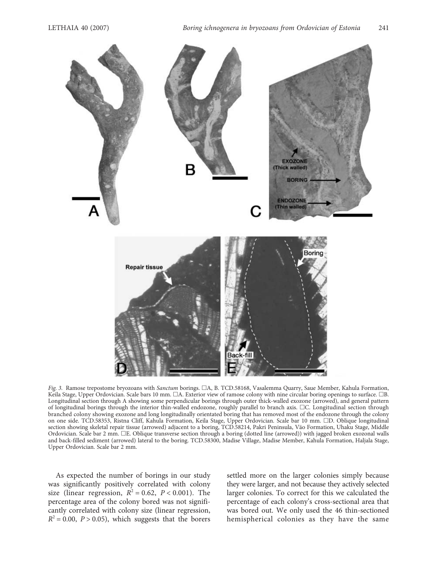

*Fig. 3.* Ramose trepostome bryozoans with *Sanctum* borings. □A, B. TCD.58168, Vasalemma Quarry, Saue Member, Kahula Formation, Keila Stage, Upper Ordovician. Scale bars 10 mm.  $\Box A$ . Exterior view of ramose colony with nine circular boring openings to surface.  $\Box B$ . Longitudinal section through A showing some perpendicular borings through outer thick-walled exozone (arrowed), and general pattern of longitudinal borings through the interior thin-walled endozone, roughly parallel to branch axis. C. Longitudinal section through branched colony showing exozone and long longitudinally orientated boring that has removed most of the endozone through the colony on one side. TCD.58353, Ristna Cliff, Kahula Formation, Keila Stage, Upper Ordovician. Scale bar 10 mm. D. Oblique longitudinal section showing skeletal repair tissue (arrowed) adjacent to a boring, TCD.58214, Pakri Peninsula, Väo Formation, Uhaku Stage, Middle Ordovician. Scale bar 2 mm.  $\Box$ E. Oblique transverse section through a boring (dotted line (arrowed)) with jagged broken exozonal walls and back-filled sediment (arrowed) lateral to the boring. TCD.58300, Madise Village, Madise Member, Kahula Formation, Haljala Stage, Upper Ordovician. Scale bar 2 mm.

As expected the number of borings in our study was significantly positively correlated with colony size (linear regression,  $R^2 = 0.62$ ,  $P < 0.001$ ). The percentage area of the colony bored was not significantly correlated with colony size (linear regression,  $R^2 = 0.00$ ,  $P > 0.05$ ), which suggests that the borers

settled more on the larger colonies simply because they were larger, and not because they actively selected larger colonies. To correct for this we calculated the percentage of each colony's cross-sectional area that was bored out. We only used the 46 thin-sectioned hemispherical colonies as they have the same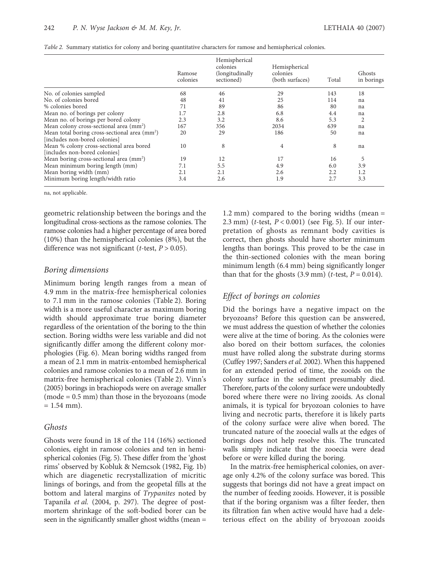|  |  |  | Table 2. Summary statistics for colony and boring quantitative characters for ramose and hemispherical colonies. |  |  |
|--|--|--|------------------------------------------------------------------------------------------------------------------|--|--|
|  |  |  |                                                                                                                  |  |  |

|                                                                                            | Ramose<br>colonies | Hemispherical<br>colonies<br>(longitudinally)<br>sectioned) | Hemispherical<br>colonies<br>(both surfaces) | Total | Ghosts<br>in borings |
|--------------------------------------------------------------------------------------------|--------------------|-------------------------------------------------------------|----------------------------------------------|-------|----------------------|
| No. of colonies sampled                                                                    | 68                 | 46                                                          | 29                                           | 143   | 18                   |
| No. of colonies bored                                                                      | 48                 | 41                                                          | 25                                           | 114   | na                   |
| % colonies bored                                                                           | 71                 | 89                                                          | 86                                           | 80    | na                   |
| Mean no. of borings per colony                                                             | 1.7                | 2.8                                                         | 6.8                                          | 4.4   | na                   |
| Mean no. of borings per bored colony                                                       | 2.3                | 3.2                                                         | 8.6                                          | 5.3   | 2                    |
| Mean colony cross-sectional area (mm <sup>2</sup> )                                        | 167                | 356                                                         | 2034                                         | 639   | na                   |
| Mean total boring cross-sectional area (mm <sup>2</sup> )<br>[includes non-bored colonies] | 20                 | 29                                                          | 186                                          | 50    | na                   |
| Mean % colony cross-sectional area bored<br>[includes non-bored colonies]                  | 10                 | 8                                                           | 4                                            | 8     | na                   |
| Mean boring cross-sectional area (mm <sup>2</sup> )                                        | 19                 | 12                                                          | 17                                           | 16    | 5                    |
| Mean minimum boring length (mm)                                                            | 7.1                | 5.5                                                         | 4.9                                          | 6.0   | 3.9                  |
| Mean boring width (mm)                                                                     | 2.1                | 2.1                                                         | 2.6                                          | 2.2   | 1.2                  |
| Minimum boring length/width ratio                                                          | 3.4                | 2.6                                                         | 1.9                                          | 2.7   | 3.3                  |

na, not applicable.

geometric relationship between the borings and the longitudinal cross-sections as the ramose colonies. The ramose colonies had a higher percentage of area bored (10%) than the hemispherical colonies (8%), but the difference was not significant (*t*-test, *P* > 0.05).

#### *Boring dimensions*

Minimum boring length ranges from a mean of 4.9 mm in the matrix-free hemispherical colonies to 7.1 mm in the ramose colonies (Table 2). Boring width is a more useful character as maximum boring width should approximate true boring diameter regardless of the orientation of the boring to the thin section. Boring widths were less variable and did not significantly differ among the different colony morphologies (Fig. 6). Mean boring widths ranged from a mean of 2.1 mm in matrix-entombed hemispherical colonies and ramose colonies to a mean of 2.6 mm in matrix-free hemispherical colonies (Table 2). Vinn's (2005) borings in brachiopods were on average smaller (mode = 0.5 mm) than those in the bryozoans (mode  $= 1.54$  mm).

#### *Ghosts*

Ghosts were found in 18 of the 114 (16%) sectioned colonies, eight in ramose colonies and ten in hemispherical colonies (Fig. 5). These differ from the 'ghost rims' observed by Kobluk & Nemcsok (1982, Fig. 1b) which are diagenetic recrystallization of micritic linings of borings, and from the geopetal fills at the bottom and lateral margins of *Trypanites* noted by Tapanila *et al.* (2004, p. 297). The degree of postmortem shrinkage of the soft-bodied borer can be seen in the significantly smaller ghost widths (mean = 1.2 mm) compared to the boring widths (mean = 2.3 mm) (*t*-test, *P* < 0.001) (see Fig. 5). If our interpretation of ghosts as remnant body cavities is correct, then ghosts should have shorter minimum lengths than borings. This proved to be the case in the thin-sectioned colonies with the mean boring minimum length (6.4 mm) being significantly longer than that for the ghosts  $(3.9 \text{ mm})$  (*t*-test,  $P = 0.014$ ).

#### *Effect of borings on colonies*

Did the borings have a negative impact on the bryozoans? Before this question can be answered, we must address the question of whether the colonies were alive at the time of boring. As the colonies were also bored on their bottom surfaces, the colonies must have rolled along the substrate during storms (Cuffey 1997; Sanders *et al.* 2002). When this happened for an extended period of time, the zooids on the colony surface in the sediment presumably died. Therefore, parts of the colony surface were undoubtedly bored where there were no living zooids. As clonal animals, it is typical for bryozoan colonies to have living and necrotic parts, therefore it is likely parts of the colony surface were alive when bored. The truncated nature of the zooecial walls at the edges of borings does not help resolve this. The truncated walls simply indicate that the zooecia were dead before or were killed during the boring.

In the matrix-free hemispherical colonies, on average only 4.2% of the colony surface was bored. This suggests that borings did not have a great impact on the number of feeding zooids. However, it is possible that if the boring organism was a filter feeder, then its filtration fan when active would have had a deleterious effect on the ability of bryozoan zooids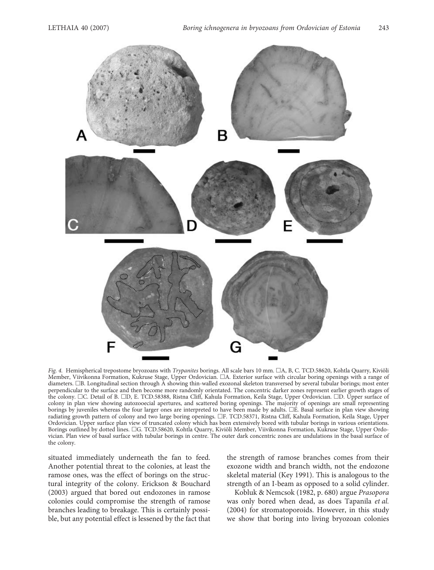

*Fig. 4.* Hemispherical trepostome bryozoans with *Trypanites* borings. All scale bars 10 mm. □A, B, C. TCD.58620, Kohtla Quarry, Kiviõli Member, Viivikonna Formation, Kukruse Stage, Upper Ordovician.  $\Box A$ . Exterior surface with circular boring openings with a range of diameters.  $\Box$ B. Longitudinal section through A showing thin-walled exozonal skeleton transversed by several tubular borings; most enter perpendicular to the surface and then become more randomly orientated. The concentric darker zones represent earlier growth stages of the colony.  $\Box$ C. Detail of B.  $\Box$ D, E. TCD.58388, Ristna Cliff, Kahula Formation, Keila Stage, Upper Ordovician.  $\Box$ D. Upper surface of colony in plan view showing autozooecial apertures, and scattered boring openings. The majority of openings are small representing borings by juveniles whereas the four larger ones are interpreted to have been made by adults.  $\Box$ E. Basal surface in plan view showing radiating growth pattern of colony and two large boring openings.  $\Box$ F. TCD.58371, Ristna Cliff, Kahula Formation, Keila Stage, Upper Ordovician. Upper surface plan view of truncated colony which has been extensively bored with tubular borings in various orientations. Borings outlined by dotted lines.  $\Box G$ . TCD.58620, Kohtla Quarry, Kiviõli Member, Viivikonna Formation, Kukruse Stage, Upper Ordovician. Plan view of basal surface with tubular borings in centre. The outer dark concentric zones are undulations in the basal surface of the colony.

situated immediately underneath the fan to feed. Another potential threat to the colonies, at least the ramose ones, was the effect of borings on the structural integrity of the colony. Erickson & Bouchard (2003) argued that bored out endozones in ramose colonies could compromise the strength of ramose branches leading to breakage. This is certainly possible, but any potential effect is lessened by the fact that the strength of ramose branches comes from their exozone width and branch width, not the endozone skeletal material (Key 1991). This is analogous to the strength of an I-beam as opposed to a solid cylinder.

Kobluk & Nemcsok (1982, p. 680) argue *Prasopora* was only bored when dead, as does Tapanila *et al.* (2004) for stromatoporoids. However, in this study we show that boring into living bryozoan colonies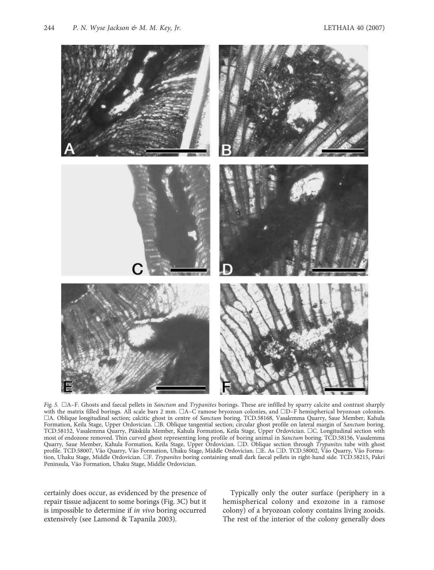

*Fig. 5.* □A-F. Ghosts and faecal pellets in *Sanctum* and *Trypanites* borings. These are infilled by sparry calcite and contrast sharply with the matrix filled borings. All scale bars 2 mm.  $\Box A$ –C ramose bryozoan colonies, and  $\Box D$ –F hemispherical bryozoan colonies. A. Oblique longitudinal section; calcitic ghost in centre of *Sanctum* boring. TCD.58168, Vasalemma Quarry, Saue Member, Kahula Formation, Keila Stage, Upper Ordovician.  $\Box$ B. Oblique tangential section; circular ghost profile on lateral margin of *Sanctum* boring. TCD.58152, Vasalemma Quarry, Pääsküla Member, Kahula Formation, Keila Stage, Upper Ordovician. CC. Longitudinal section with most of endozone removed. Thin curved ghost representing long profile of boring animal in *Sanctum* boring. TCD.58156, Vasalemma Quarry, Saue Member, Kahula Formation, Keila Stage, Upper Ordovician. <sup>DD</sup>. Oblique section through Trypanites tube with ghost profile. TCD.58007, Väo Quarry, Väo Formation, Uhaku Stage, Middle Ordovician. □E. As □D. TCD.58002, Väo Quarry, Väo Formation, Uhaku Stage, Middle Ordovician.  $\Box$ F. *Trypanites* boring containing small dark faecal pellets in right-hand side. TCD.58215, Pakri Peninsula, Väo Formation, Uhaku Stage, Middle Ordovician.

certainly does occur, as evidenced by the presence of repair tissue adjacent to some borings (Fig. 3C) but it is impossible to determine if *in vivo* boring occurred extensively (see Lamond & Tapanila 2003).

Typically only the outer surface (periphery in a hemispherical colony and exozone in a ramose colony) of a bryozoan colony contains living zooids. The rest of the interior of the colony generally does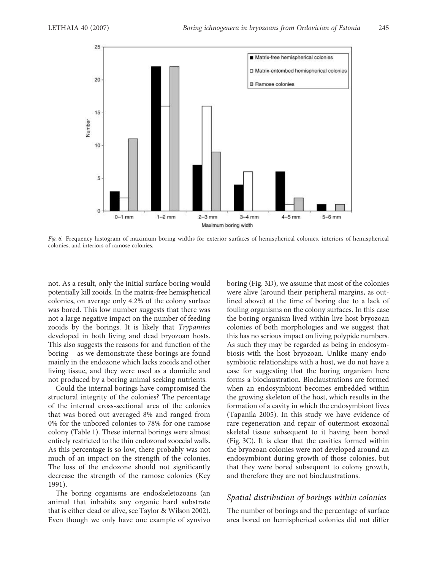

*Fig. 6.* Frequency histogram of maximum boring widths for exterior surfaces of hemispherical colonies, interiors of hemispherical colonies, and interiors of ramose colonies.

not. As a result, only the initial surface boring would potentially kill zooids. In the matrix-free hemispherical colonies, on average only 4.2% of the colony surface was bored. This low number suggests that there was not a large negative impact on the number of feeding zooids by the borings. It is likely that *Trypanites* developed in both living and dead bryozoan hosts. This also suggests the reasons for and function of the boring – as we demonstrate these borings are found mainly in the endozone which lacks zooids and other living tissue, and they were used as a domicile and not produced by a boring animal seeking nutrients.

Could the internal borings have compromised the structural integrity of the colonies? The percentage of the internal cross-sectional area of the colonies that was bored out averaged 8% and ranged from 0% for the unbored colonies to 78% for one ramose colony (Table 1). These internal borings were almost entirely restricted to the thin endozonal zooecial walls. As this percentage is so low, there probably was not much of an impact on the strength of the colonies. The loss of the endozone should not significantly decrease the strength of the ramose colonies (Key 1991).

The boring organisms are endoskeletozoans (an animal that inhabits any organic hard substrate that is either dead or alive, see Taylor & Wilson 2002). Even though we only have one example of synvivo

boring (Fig. 3D), we assume that most of the colonies were alive (around their peripheral margins, as outlined above) at the time of boring due to a lack of fouling organisms on the colony surfaces. In this case the boring organism lived within live host bryozoan colonies of both morphologies and we suggest that this has no serious impact on living polypide numbers. As such they may be regarded as being in endosymbiosis with the host bryozoan. Unlike many endosymbiotic relationships with a host, we do not have a case for suggesting that the boring organism here forms a bioclaustration. Bioclaustrations are formed when an endosymbiont becomes embedded within the growing skeleton of the host, which results in the formation of a cavity in which the endosymbiont lives (Tapanila 2005). In this study we have evidence of rare regeneration and repair of outermost exozonal skeletal tissue subsequent to it having been bored (Fig. 3C). It is clear that the cavities formed within the bryozoan colonies were not developed around an endosymbiont during growth of those colonies, but that they were bored subsequent to colony growth, and therefore they are not bioclaustrations.

## *Spatial distribution of borings within colonies*

The number of borings and the percentage of surface area bored on hemispherical colonies did not differ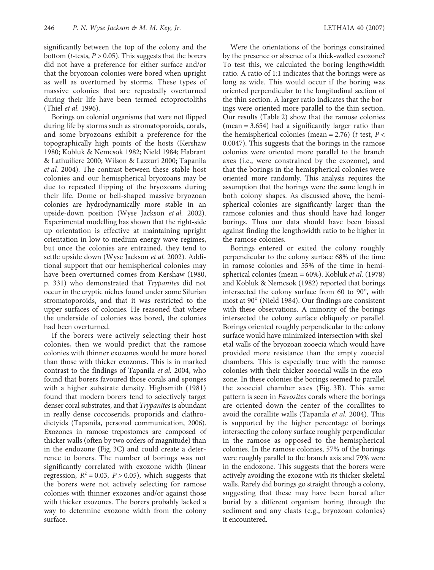significantly between the top of the colony and the bottom (*t*-tests, *P* > 0.05). This suggests that the borers did not have a preference for either surface and/or that the bryozoan colonies were bored when upright as well as overturned by storms. These types of massive colonies that are repeatedly overturned during their life have been termed ectoproctoliths (Thiel *et al.* 1996).

Borings on colonial organisms that were not flipped during life by storms such as stromatoporoids, corals, and some bryozoans exhibit a preference for the topographically high points of the hosts (Kershaw 1980; Kobluk & Nemcsok 1982; Nield 1984; Habrant & Lathuiliere 2000; Wilson & Lazzuri 2000; Tapanila *et al.* 2004). The contrast between these stable host colonies and our hemispherical bryozoans may be due to repeated flipping of the bryozoans during their life. Dome or bell-shaped massive bryozoan colonies are hydrodynamically more stable in an upside-down position (Wyse Jackson *et al.* 2002). Experimental modelling has shown that the right-side up orientation is effective at maintaining upright orientation in low to medium energy wave regimes, but once the colonies are entrained, they tend to settle upside down (Wyse Jackson *et al.* 2002). Additional support that our hemispherical colonies may have been overturned comes from Kershaw (1980, p. 331) who demonstrated that *Trypanites* did not occur in the cryptic niches found under some Silurian stromatoporoids, and that it was restricted to the upper surfaces of colonies. He reasoned that where the underside of colonies was bored, the colonies had been overturned.

If the borers were actively selecting their host colonies, then we would predict that the ramose colonies with thinner exozones would be more bored than those with thicker exozones. This is in marked contrast to the findings of Tapanila *et al.* 2004, who found that borers favoured those corals and sponges with a higher substrate density. Highsmith (1981) found that modern borers tend to selectively target denser coral substrates, and that *Trypanites* is abundant in really dense coccoserids, proporids and clathrodictyids (Tapanila, personal communication, 2006). Exozones in ramose trepostomes are composed of thicker walls (often by two orders of magnitude) than in the endozone (Fig. 3C) and could create a deterrence to borers. The number of borings was not significantly correlated with exozone width (linear regression,  $R^2 = 0.03$ ,  $P > 0.05$ ), which suggests that the borers were not actively selecting for ramose colonies with thinner exozones and/or against those with thicker exozones. The borers probably lacked a way to determine exozone width from the colony surface.

Were the orientations of the borings constrained by the presence or absence of a thick-walled exozone? To test this, we calculated the boring length:width ratio. A ratio of 1:1 indicates that the borings were as long as wide. This would occur if the boring was oriented perpendicular to the longitudinal section of the thin section. A larger ratio indicates that the borings were oriented more parallel to the thin section. Our results (Table 2) show that the ramose colonies (mean = 3.654) had a significantly larger ratio than the hemispherical colonies (mean = 2.76) (*t*-test, *P* < 0.0047). This suggests that the borings in the ramose colonies were oriented more parallel to the branch axes (i.e., were constrained by the exozone), and that the borings in the hemispherical colonies were oriented more randomly. This analysis requires the assumption that the borings were the same length in both colony shapes. As discussed above, the hemispherical colonies are significantly larger than the ramose colonies and thus should have had longer borings. Thus our data should have been biased against finding the length:width ratio to be higher in the ramose colonies.

Borings entered or exited the colony roughly perpendicular to the colony surface 68% of the time in ramose colonies and 55% of the time in hemispherical colonies (mean = 60%). Kobluk *et al.* (1978) and Kobluk & Nemcsok (1982) reported that borings intersected the colony surface from 60 to 90°, with most at 90° (Nield 1984). Our findings are consistent with these observations. A minority of the borings intersected the colony surface obliquely or parallel. Borings oriented roughly perpendicular to the colony surface would have minimized intersection with skeletal walls of the bryozoan zooecia which would have provided more resistance than the empty zooecial chambers. This is especially true with the ramose colonies with their thicker zooecial walls in the exozone. In these colonies the borings seemed to parallel the zooecial chamber axes (Fig. 3B). This same pattern is seen in *Favosites* corals where the borings are oriented down the center of the corallites to avoid the corallite walls (Tapanila *et al.* 2004). This is supported by the higher percentage of borings intersecting the colony surface roughly perpendicular in the ramose as opposed to the hemispherical colonies. In the ramose colonies, 57% of the borings were roughly parallel to the branch axis and 79% were in the endozone. This suggests that the borers were actively avoiding the exozone with its thicker skeletal walls. Rarely did borings go straight through a colony, suggesting that these may have been bored after burial by a different organism boring through the sediment and any clasts (e.g., bryozoan colonies) it encountered.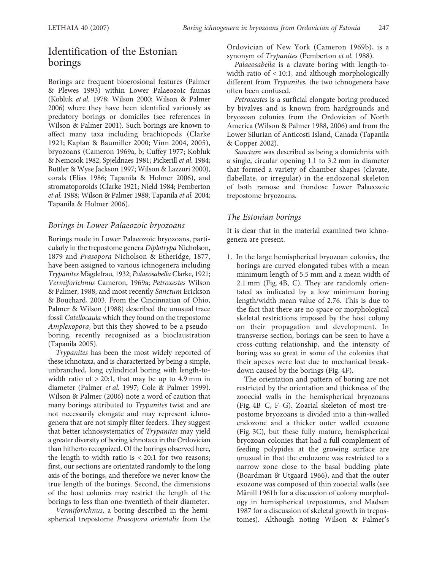# Identification of the Estonian borings

Borings are frequent bioerosional features (Palmer & Plewes 1993) within Lower Palaeozoic faunas (Kobluk *et al.* 1978; Wilson 2000; Wilson & Palmer 2006) where they have been identified variously as predatory borings or domiciles (see references in Wilson & Palmer 2001). Such borings are known to affect many taxa including brachiopods (Clarke 1921; Kaplan & Baumiller 2000; Vinn 2004, 2005), bryozoans (Cameron 1969a, b; Cuffey 1977; Kobluk & Nemcsok 1982; Spjeldnaes 1981; Pickerill *et al*. 1984; Buttler & Wyse Jackson 1997; Wilson & Lazzuri 2000), corals (Elias 1986; Tapanila & Holmer 2006), and stromatoporoids (Clarke 1921; Nield 1984; Pemberton *et al.* 1988; Wilson & Palmer 1988; Tapanila *et al.* 2004; Tapanila & Holmer 2006).

#### *Borings in Lower Palaeozoic bryozoans*

Borings made in Lower Palaeozoic bryozoans, particularly in the trepostome genera *Diplotrypa* Nicholson, 1879 and *Prasopora* Nicholson & Etheridge, 1877, have been assigned to various ichnogenera including *Trypanites* Mägdefrau, 1932; *Palaeosabella* Clarke, 1921; *Vermiforichnus* Cameron, 1969a; *Petroxestes* Wilson & Palmer, 1988; and most recently *Sanctum* Erickson & Bouchard, 2003. From the Cincinnatian of Ohio, Palmer & Wilson (1988) described the unusual trace fossil *Catellocaula* which they found on the trepostome *Amplexopora*, but this they showed to be a pseudoboring, recently recognized as a bioclaustration (Tapanila 2005).

*Trypanites* has been the most widely reported of these ichnotaxa, and is characterized by being a simple, unbranched, long cylindrical boring with length-towidth ratio of  $> 20:1$ , that may be up to 4.9 mm in diameter (Palmer *et al.* 1997; Cole & Palmer 1999). Wilson & Palmer (2006) note a word of caution that many borings attributed to *Trypanites* twist and are not necessarily elongate and may represent ichnogenera that are not simply filter feeders. They suggest that better ichnosystematics of *Trypanites* may yield a greater diversity of boring ichnotaxa in the Ordovician than hitherto recognized. Of the borings observed here, the length-to-width ratio is  $< 20:1$  for two reasons; first, our sections are orientated randomly to the long axis of the borings, and therefore we never know the true length of the borings. Second, the dimensions of the host colonies may restrict the length of the borings to less than one-twentieth of their diameter.

*Vermiforichnus*, a boring described in the hemispherical trepostome *Prasopora orientalis* from the Ordovician of New York (Cameron 1969b), is a synonym of *Trypanites* (Pemberton *et al*. 1988).

*Palaeosabella* is a clavate boring with length-towidth ratio of < 10:1, and although morphologically different from *Trypanites*, the two ichnogenera have often been confused.

*Petroxestes* is a surficial elongate boring produced by bivalves and is known from hardgrounds and bryozoan colonies from the Ordovician of North America (Wilson & Palmer 1988, 2006) and from the Lower Silurian of Anticosti Island, Canada (Tapanila & Copper 2002).

*Sanctum* was described as being a domichnia with a single, circular opening 1.1 to 3.2 mm in diameter that formed a variety of chamber shapes (clavate, flabellate, or irregular) in the endozonal skeleton of both ramose and frondose Lower Palaeozoic trepostome bryozoans.

## *The Estonian borings*

It is clear that in the material examined two ichnogenera are present.

1. In the large hemispherical bryozoan colonies, the borings are curved elongated tubes with a mean minimum length of 5.5 mm and a mean width of 2.1 mm (Fig. 4B, C). They are randomly orientated as indicated by a low minimum boring length/width mean value of 2.76. This is due to the fact that there are no space or morphological skeletal restrictions imposed by the host colony on their propagation and development. In transverse section, borings can be seen to have a cross-cutting relationship, and the intensity of boring was so great in some of the colonies that their apexes were lost due to mechanical breakdown caused by the borings (Fig. 4F).

The orientation and pattern of boring are not restricted by the orientation and thickness of the zooecial walls in the hemispherical bryozoans (Fig. 4B–C, F–G). Zoarial skeleton of most trepostome bryozoans is divided into a thin-walled endozone and a thicker outer walled exozone (Fig. 3C), but these fully mature, hemispherical bryozoan colonies that had a full complement of feeding polypides at the growing surface are unusual in that the endozone was restricted to a narrow zone close to the basal budding plate (Boardman & Utgaard 1966), and that the outer exozone was composed of thin zooecial walls (see Mänill 1961b for a discussion of colony morphology in hemispherical trepostomes, and Madsen 1987 for a discussion of skeletal growth in trepostomes). Although noting Wilson & Palmer's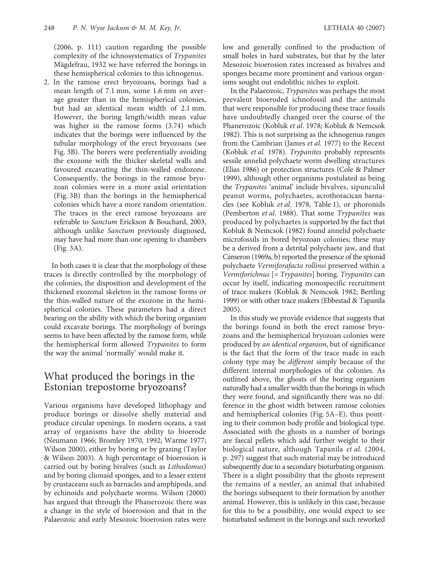(2006, p. 111) caution regarding the possible complexity of the ichnosystematics of *Trypanites* Mägdefrau, 1932 we have referred the borings in these hemispherical colonies to this ichnogenus.

2. In the ramose erect bryozoans, borings had a mean length of 7.1 mm, some 1.6 mm on average greater than in the hemispherical colonies, but had an identical mean width of 2.1 mm. However, the boring length/width mean value was higher in the ramose forms (3.74) which indicates that the borings were influenced by the tubular morphology of the erect bryozoans (see Fig. 3B). The borers were preferentially avoiding the exozone with the thicker skeletal walls and favoured excavating the thin-walled endozone. Consequently, the borings in the ramose bryozoan colonies were in a more axial orientation (Fig. 3B) than the borings in the hemispherical colonies which have a more random orientation. The traces in the erect ramose bryozoans are referable to *Sanctum* Erickson & Bouchard, 2003, although unlike *Sanctum* previously diagnosed, may have had more than one opening to chambers (Fig. 3A).

In both cases it is clear that the morphology of these traces is directly controlled by the morphology of the colonies, the disposition and development of the thickened exozonal skeleton in the ramose forms or the thin-walled nature of the exozone in the hemispherical colonies. These parameters had a direct bearing on the ability with which the boring organism could excavate borings. The morphology of borings seems to have been affected by the ramose form, while the hemispherical form allowed *Trypanites* to form the way the animal 'normally' would make it.

# What produced the borings in the Estonian trepostome bryozoans?

Various organisms have developed lithophagy and produce borings or dissolve shelly material and produce circular openings. In modern oceans, a vast array of organisms have the ability to bioerode (Neumann 1966; Bromley 1970, 1992; Warme 1977; Wilson 2000), either by boring or by grazing (Taylor & Wilson 2003). A high percentage of bioerosion is carried out by boring bivalves (such as *Lithodomus*) and by boring clionaid sponges, and to a lesser extent by crustaceans such as barnacles and amphipods, and by echinoids and polychaete worms. Wilson (2000) has argued that through the Phanerozoic there was a change in the style of bioerosion and that in the Palaeozoic and early Mesozoic bioerosion rates were low and generally confined to the production of small holes in hard substrates, but that by the later Mesozoic bioerosion rates increased as bivalves and sponges became more prominent and various organisms sought out endolithic niches to exploit.

In the Palaeozoic, *Trypanites* was perhaps the most prevalent bioeroded ichnofossil and the animals that were responsible for producing these trace fossils have undoubtedly changed over the course of the Phanerozoic (Kobluk *et al*. 1978; Kobluk & Nemcsok 1982). This is not surprising as the ichnogenus ranges from the Cambrian (James *et al.* 1977) to the Recent (Kobluk *et al.* 1978). *Trypanites* probably represents sessile annelid polychaete worm dwelling structures (Elias 1986) or protection structures (Cole & Palmer 1999), although other organisms postulated as being the *Trypanites* 'animal' include bivalves, sipunculid peanut worms, polychaetes, acrothoracican barnacles (see Kobluk *et al*. 1978, Table 1), or phoronids (Pemberton *et al*. 1988). That some *Trypanites* was produced by polychaetes is supported by the fact that Kobluk & Nemcsok (1982) found annelid polychaete microfossils in bored bryozoan colonies; these may be a derived from a detrital polychaete jaw, and that Cameron (1969a, b) reported the presence of the spionid polychaete *Vermiforafacta rollinsi* preserved within a *Vermiforichnus* [= *Trypanites*] boring. *Trypanites* can occur by itself, indicating monospecific recruitment of trace makers (Kobluk & Nemcsok 1982; Bertling 1999) or with other trace makers (Ebbestad & Tapanila 2005).

In this study we provide evidence that suggests that the borings found in both the erect ramose bryozoans and the hemispherical bryozoan colonies were produced by *an identical organism*, but of significance is the fact that the form of the trace made in each colony type may be *different* simply because of the different internal morphologies of the colonies. As outlined above, the ghosts of the boring organism naturally had a smaller width than the borings in which they were found, and significantly there was no difference in the ghost width between ramose colonies and hemispherical colonies (Fig. 5A–E), thus pointing to their common body profile and biological type. Associated with the ghosts in a number of borings are faecal pellets which add further weight to their biological nature, although Tapanila *et al.* (2004, p. 297) suggest that such material may be introduced subsequently due to a secondary bioturbating organism. There is a slight possibility that the ghosts represent the remains of a nestler, an animal that inhabited the borings subsequent to their formation by another animal. However, this is unlikely in this case, because for this to be a possibility, one would expect to see bioturbated sediment in the borings and such reworked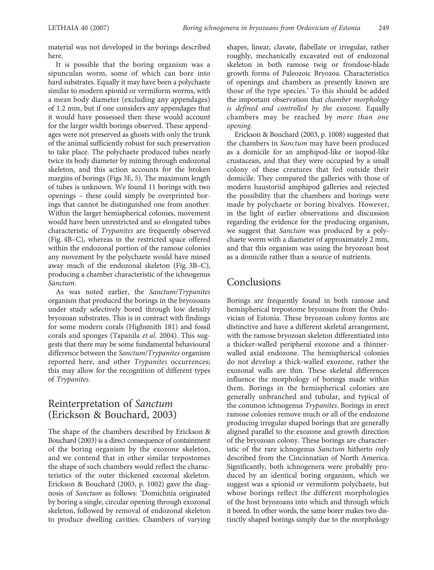material was not developed in the borings described here.

It is possible that the boring organism was a sipunculan worm, some of which can bore into hard substrates. Equally it may have been a polychaete similar to modern spionid or vermiform worms, with a mean body diameter (excluding any appendages) of 1.2 mm, but if one considers any appendages that it would have possessed then these would account for the larger width borings observed. These appendages were not preserved as ghosts with only the trunk of the animal sufficiently robust for such preservation to take place. The polychaete produced tubes nearly twice its body diameter by mining through endozonal skeleton, and this action accounts for the broken margins of borings (Figs 3E, 5). The maximum length of tubes is unknown. We found 11 borings with two openings – these could simply be overprinted borings that cannot be distinguished one from another. Within the larger hemispherical colonies, movement would have been unrestricted and so elongated tubes characteristic of *Trypanites* are frequently observed (Fig. 4B–C), whereas in the restricted space offered within the endozonal portion of the ramose colonies any movement by the polychaete would have mined away much of the endozonal skeleton (Fig. 3B–C), producing a chamber characteristic of the ichnogenus *Sanctum*.

As was noted earlier, the *Sanctum*/*Trypanites* organism that produced the borings in the bryozoans under study selectively bored through low density bryozoan substrates. This is in contract with findings for some modern corals (Highsmith 181) and fossil corals and sponges (Tapanila *et al.* 2004). This suggests that there may be some fundamental behavioural difference between the *Sanctum*/*Trypanites* organism reported here, and other *Trypanites* occurrences; this may allow for the recognition of different types of *Trypanites*.

# Reinterpretation of *Sanctum* (Erickson & Bouchard, 2003)

The shape of the chambers described by Erickson & Bouchard (2003) is a direct consequence of containment of the boring organism by the exozone skeleton, and we contend that in other similar trepostomes the shape of such chambers would reflect the characteristics of the outer thickened exozonal skeleton. Erickson & Bouchard (2003, p. 1002) gave the diagnosis of *Sanctum* as follows: 'Domichnia originated by boring a single, circular opening through exozonal skeleton, followed by removal of endozonal skeleton to produce dwelling cavities. Chambers of varying shapes, linear, clavate, flabellate or irregular, rather roughly, mechanically excavated out of endozonal skeleton in both ramose twig or frondose-blade growth forms of Paleozoic Bryozoa. Characteristics of openings and chambers as presently known are those of the type species.' To this should be added the important observation that *chamber morphology is defined and controlled by the exozone.* Equally chambers may be reached by *more than one opening.*

Erickson & Bouchard (2003, p. 1008) suggested that the chambers in *Sanctum* may have been produced as a domicile for an amphipod-like or isopod-like crustacean, and that they were occupied by a small colony of these creatures that fed outside their domicile. They compared the galleries with those of modern haustoriid amphipod galleries and rejected the possibility that the chambers and borings were made by polychaete or boring bivalves. However, in the light of earlier observations and discussion regarding the evidence for the producing organism, we suggest that *Sanctum* was produced by a polychaete worm with a diameter of approximately 2 mm, and that this organism was using the bryozoan host as a domicile rather than a source of nutrients.

# Conclusions

Borings are frequently found in both ramose and hemispherical trepostome bryozoans from the Ordovician of Estonia. These bryozoan colony forms are distinctive and have a different skeletal arrangement, with the ramose bryozoan skeleton differentiated into a thicker-walled peripheral exozone and a thinnerwalled axial endozone. The hemispherical colonies do not develop a thick-walled exozone, rather the exozonal walls are thin. These skeletal differences influence the morphology of borings made within them. Borings in the hemispherical colonies are generally unbranched and tubular, and typical of the common ichnogenus *Trypanites*. Borings in erect ramose colonies remove much or all of the endozone producing irregular shaped borings that are generally aligned parallel to the exozone and growth direction of the bryozoan colony. These borings are characteristic of the rare ichnogenus *Sanctum* hitherto only described from the Cincinnatian of North America. Significantly, both ichnogenera were probably produced by an identical boring organism, which we suggest was a spionid or vermiform polychaete, but whose borings reflect the different morphologies of the host bryozoans into which and through which it bored. In other words, the same borer makes two distinctly shaped borings simply due to the morphology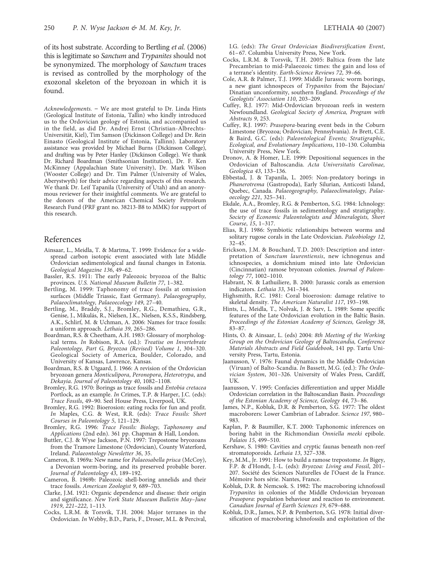of its host substrate. According to Bertling *et al.* (2006) this is legitimate so *Sanctum* and *Trypanites* should not be synonymized. The morphology of *Sanctum* traces is revised as controlled by the morphology of the exozonal skeleton of the bryozoan in which it is found.

*Acknowledgements. –* We are most grateful to Dr. Linda Hints (Geological Institute of Estonia, Tallin) who kindly introduced us to the Ordovician geology of Estonia, and accompanied us in the field, as did Dr. Andrej Ernst (Christian-Albrechts-Universität, Kiel), Tim Samson (Dickinson College) and Dr. Rein Einasto (Geological Institute of Estonia, Tallinn). Laboratory assistance was provided by Michael Burns (Dickinson College), and drafting was by Peter Hanley (Dickinson College). We thank Dr. Richard Boardman (Smithsonian Institution), Dr. F. Ken McKinney (Appalachian State University), Dr. Mark Wilson (Wooster College) and Dr. Tim Palmer (University of Wales, Aberystwyth) for their advice regarding aspects of this research. We thank Dr. Leif Tapanila (University of Utah) and an anonymous reviewer for their insightful comments. We are grateful to the donors of the American Chemical Society Petroleum Research Fund (PRF grant no. 38213-B8 to MMK) for support of this research.

#### References

- Ainsaar, L., Meidla, T. & Martma, T. 1999: Evidence for a widespread carbon isotopic event associated with late Middle Ordovician sedimentological and faunal changes in Estonia. *Geological Magazine 136*, 49–62.
- Bassler, R.S. 1911: The early Paleozoic bryozoa of the Baltic provinces. *U.S. National Museum Bulletin 77*, 1–382.
- Bertling, M. 1999: Taphonomy of trace fossils at omission surfaces (Middle Triassic, East Germany). *Palaeogeography, Palaeoclimatology, Palaeoecology 149*, 27–40.
- Bertling, M., Braddy, S.J., Bromley, R.G., Demathieu, G.R., Genise, J., Mikulás, R., Nielsen, J.K., Nielsen, K.S.S., Rindsberg, A.K., Schlirf, M. & Uchman, A. 2006: Names for trace fossils: a uniform approach. *Lethaia 39*, 265–286.
- Boardman, R.S. & Cheetham, A.H. 1983: Glossary of morphological terms. *In* Robison, R.A. (ed.): *Treatise on Invertebrate Paleontology, Part G, Bryozoa (Revised) Volume 1*, 304–320. Geological Society of America, Boulder, Colorado, and University of Kansas, Lawrence, Kansas.
- Boardman, R.S. & Utgaard, J. 1966: A revision of the Ordovician bryozoan genera *Monticulipora*, *Peronopora*, *Heterotrypa*, and *Dekayia*. *Journal of Paleontology 40*, 1082–1108.
- Bromley, R.G. 1970: Borings as trace fossils and *Entobia cretacea* Portlock, as an example. *In* Crimes, T.P. & Harper, J.C. (eds): *Trace Fossils*, 49–90. Seel House Press, Liverpool, UK.
- Bromley, R.G. 1992: Bioerosion: eating rocks for fun and profit. *In* Maples, C.G. & West, R.R. (eds): *Trace Fossils: Short Courses in Paleontology 5*, 121–129.
- Bromley, R.G. 1996: *Trace Fossils: Biology, Taphonomy and Applications* (2nd edn). 361 pp. Chapman & Hall, London.
- Buttler, C.J. & Wyse Jackson, P.N. 1997: Trepostome bryozoans from the Tramore Limestone (Ordovician), County Waterford, Ireland. *Palaeontology Newsletter 36*, 35.
- Cameron, B. 1969a: New name for *Palaeosabella prisca* (McCoy), a Devonian worm-boring, and its preserved probable borer. *Journal of Paleontology 43*, 189–192.
- Cameron, B. 1969b: Paleozoic shell-boring annelids and their trace fossils. *American Zoologist 9*, 689–703.
- Clarke, J.M. 1921: Organic dependence and disease: their origin and significance. *New York State Museum Bulletin May–June 1919*, *221–222*, 1–113.
- Cocks, L.R.M. & Torsvik, T.H. 2004: Major terranes in the Ordovician. *In* Webby, B.D., Paris, F., Droser, M.L. & Percival,

I.G. (eds): *The Great Ordovician Biodiversification Event*, 61–67. Columbia University Press, New York.

- Cocks, L.R.M. & Torsvik, T.H. 2005: Baltica from the late Precambrian to mid-Palaeozoic times: the gain and loss of a terrane's identity. *Earth-Science Reviews 72*, 39–66.
- Cole, A.R. & Palmer, T.J. 1999: Middle Jurassic worm borings, a new giant ichnospeces of *Trypanites* from the Bajocian/ Dinatian unconformity, southern England. *Proceedings of the Geologists' Association 110*, 203–209.
- Cuffey, R.J. 1977: Mid-Ordovician bryozoan reefs in western Newfoundland. *Geological Society of America, Program with Abstracts 9*, 253.
- Cuffey, R.J. 1997: *Prasopora*-bearing event beds in the Coburn Limestone (Bryozoa; Ordovician; Pennsylvania). *In* Brett, C.E. & Baird, G.C. (eds): *Paleontological Events; Stratigraphic, Ecological, and Evolutionary Implications*, 110–130. Columbia University Press, New York.
- Dronov, A. & Homer, L.E. 1999: Depositional sequences in the Ordovician of Baltoscandia. *Acta Universitatis Carolinae, Geologica 43*, 133–136.
- Ebbestad, J. & Tapanila, L. 2005: Non-predatory borings in *Phanerotrema* (Gastropoda), Early Silurian, Anticosti Island, Quebec, Canada. *Palaeogeography, Palaeoclimatology, Palaeoecology 221*, 325–341.
- Ekdale, A.A., Bromley, R.G. & Pemberton, S.G. 1984: Ichnology: the use of trace fossils in sedimentology and stratigraphy. *Society of Economic Paleontologists and Mineralogists, Short Course*, *15*, 1–317.
- Elias, R.J. 1986: Symbiotic relationships between worms and solitary rugose corals in the Late Ordovician. *Paleobiology 12*, 32–45.
- Erickson, J.M. & Bouchard, T.D. 2003: Description and interpretation of *Sanctum laurentiensis*, new ichnogenus and ichnospecies, a domichnium mined into late Ordovician (Cincinnatian) ramose bryozoan colonies. *Journal of Paleontology 77*, 1002–1010.
- Habrant, N. & Lathuiliere, B. 2000: Jurassic corals as emersion indicators. *Lethaia 33*, 341–344.
- Highsmith, R.C. 1981: Coral bioerosion: damage relative to skeletal density. *The American Naturalist 117*, 193–198.
- Hints, L., Meidla, T., Nolvak, J. & Sarv, L. 1989: Some specific features of the Late Ordovician evolution in the Baltic Basin. *Proceedings of the Estonian Academy of Sciences, Geology 38*, 83–87.
- Hints, O. & Ainsaar, L. (eds) 2004: *8th Meeting of the Working Group on the Ordovician Geology of Baltoscandia, Conference Materials Abstracts and Field Guidebook*, 141 pp. Tartu University Press, Tartu, Estonia.
- Jaanusson, V. 1976: Faunal dynamics in the Middle Ordovician (Viruan) of Balto-Scandia. *In* Bassett, M.G. (ed.): *The Ordovician System*, 301–326. University of Wales Press, Cardiff, UK.
- Jaanusson, V. 1995: Confacies differentiation and upper Middle Ordovician correlation in the Baltoscandian Basin. *Proceedings of the Estonian Academy of Science, Geology 44*, 73–86.
- James, N.P., Kobluk, D.R. & Pemberton, S.G. 1977: The oldest macroborers: Lower Cambrian of Labrador. *Science 197*, 980– 983.
- Kaplan, P. & Baumiller, K.T. 2000: Taphonomic inferences on boring habit in the Richmondian *Onniella meeki* epibole. *Palaios 15*, 499–510.
- Kershaw, S. 1980: Cavities and cryptic faunas beneath non-reef stromatoporoids. *Lethaia 13*, 327–338.
- Key, M.M., Jr. 1991: How to build a ramose trepostome. *In* Bigey, F.P. & d'Hondt, J.-L. (eds): *Bryozoa: Living and Fossil*, 201– 207. Société des Sciences Naturelles de l'Ouest de la France. Mémoire hors série. Nantes, France.
- Kobluk, D.R. & Nemcsok. S. 1982: The macroboring ichnofossil *Trypanites* in colonies of the Middle Ordovician bryozoan *Prasopora*: population behaviour and reaction to environment. *Canadian Journal of Earth Sciences 19*, 679–688.
- Kobluk, D.R., James, N.P. & Pemberton, S.G. 1978: Initial diversification of macroboring ichnofossils and exploitation of the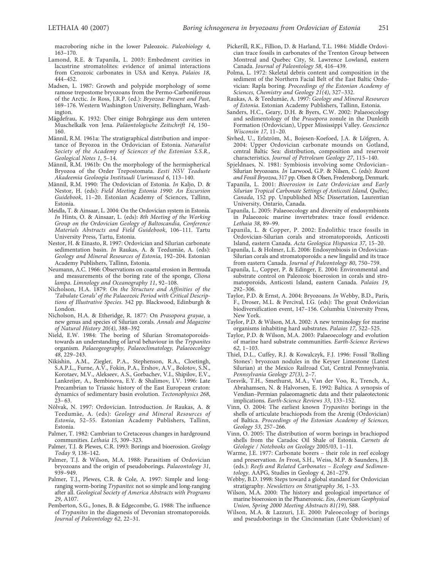macroboring niche in the lower Paleozoic. *Paleobiology 4*, 163–170.

- Lamond, R.E. & Tapanila, L. 2003: Embedment cavities in lacustrine stromatolites: evidence of animal interactions from Cenozoic carbonates in USA and Kenya. *Palaios 18*, 444–452.
- Madsen, L. 1987: Growth and polypide morphology of some ramose trepostome bryozoans from the Permo-Carboniferous of the Arctic. *In* Ross, J.R.P. (ed.): *Bryozoa: Present and Past*, 169–176. Western Washington University, Bellingham, Washington.
- Mägdefrau, K. 1932: Über einige Bohrgänge aus dem unteren Muschelkalk von Jena. *Paläontologische Zeitschrift 14*, 150– 160.
- Männil, R.M. 1961a: The stratigraphical distribution and importance of Bryozoa in the Ordovician of Estonia. *Naturalist Society of the Academy of Sciences of the Estonian S.S.R., Geological Notes 1*, 5–14.
- Männil, R.M. 1961b: On the morphology of the hermispherical Bryozoa of the Order Trepostomata. *Eesti NSV Teaduste Akadeemia Geoloogia Instituudi Uurimused 6*, 113–140.
- Männil, R.M. 1990: The Ordovician of Estonia. *In* Kaljo, D. & Nestor, H. (eds): *Field Meeting Estonia 1990: An Excursion Guidebook*, 11–20. Estonian Academy of Sciences, Tallinn, Estonia.
- Meidla, T. & Ainsaar, L. 2004: On the Ordovician system in Estonia. *In* Hints, O. & Ainsaar, L. (eds): *8th Meeting of the Working Group on the Ordovician Geology of Baltoscandia, Conference Materials Abstracts and Field Guidebook*, 106–111. Tartu University Press, Tartu, Estonia.
- Nestor, H. & Einasto, R. 1997: Ordovician and Silurian carbonate sedimentation basin. *In* Raukas, A. & Teedumäe, A. (eds): *Geology and Mineral Resources of Estonia*, 192–204. Estonian Academy Publishers, Tallinn, Estonia.
- Neumann, A.C. 1966: Observations on coastal erosion in Bermuda and measurements of the boring rate of the sponge, *Cliona lampa*. *Limnology and Oceanography 11*, 92–108.
- Nicholson, H.A. 1879: *On the Structure and Affinities of the 'Tabulate Corals' of the Palaeozoic Period with Critical Descriptions of Illustrative Species*. 342 pp. Blackwood, Edinburgh & London.
- Nicholson, H.A. & Etheridge, R. 1877: On *Prasopora grayae*, a new genus and species of Silurian corals. *Annals and Magazine of Natural History 20(4)*, 388–392
- Nield, E.W. 1984: The boring of Silurian Stromatoporoidstowards an understanding of larval behaviour in the *Trypanites* organism. *Palaeogeography, Palaeoclimatology, Palaeoecology 48*, 229–243.
- Nikishin, A.M., Ziegler, P.A., Stephenson, R.A., Cloetingh, S.A.P.L., Furne, A.V., Fokin, P.A., Ershov, A.V., Bolotov, S.N., Korotaev, M.V., Alekseev, A.S., Gorbachev, V.I., Shipilov, E.V., Lankreijer, A., Bembinova, E.Y. & Shalimov, I.V. 1996: Late Precambrian to Triassic history of the East European craton: dynamics of sedimentary basin evolution. *Tectonophysics 268*,  $23 - 63$ .
- Nõlvak, N. 1997: Ordovician. Introduction. *In* Raukas, A. & Teedumäe, A. (eds): *Geology and Mineral Resources of Estonia*, 52–55. Estonian Academy Publishers, Tallinn, Estonia.
- Palmer, T. 1982: Cambrian to Cretaceous changes in hardground communities. *Lethaia 15*, 309–323.
- Palmer, T.J. & Plewes, C.R. 1993: Borings and bioerosion. *Geology Today 9*, 138–142.
- Palmer, T.J. & Wilson, M.A. 1988: Parasitism of Ordovician bryozoans and the origin of pseudoborings. *Palaeontology 31*, 939–949.
- Palmer, T.J., Plewes, C.R. & Cole, A. 1997: Simple and longranging worm-boring *Trypanites*: not so simple and long-ranging after all. *Geological Society of America Abstracts with Programs 29*, A107.
- Pemberton, S.G., Jones, B. & Edgecombe, G. 1988: The influence of *Trypanites* in the diagenesis of Devonian stromatoporoids. *Journal of Paleontology 62*, 22–31.
- Pickerill, R.K., Fillion, D. & Harland, T.L. 1984: Middle Ordovician trace fossils in carbonates of the Trenton Group between Montreal and Quebec City, St. Lawrence Lowland, eastern Canada. *Journal of Paleontology 58*, 416–439.
- Polma, L. 1972: Skeletal debris content and composition in the sediment of the Northern Facial Belt of the East Baltic Ordovician: Rapla boring. *Proceedings of the Estonian Academy of Sciences, Chemistry and Geology 21(4)*, 327–332.
- Raukas, A. & Teedumäe, A. 1997: *Geology and Mineral Resources of Estonia*. Estonian Academy Publishers, Tallinn, Estonia.
- Sanders, H.C., Geary, D.H. & Byers, C.W. 2002: Palaeoecology and sedimentology of the *Prasopora* zonule in the Dunleith Formation (Ordovician), Upper Mississippi Valley. *Geoscience Wisconsin 17*, 11–20.
- Sivhed, U., Erlström, M., Bojesen-Koefoed, J.A. & Löfgren, A. 2004: Upper Ordovician carbonate mounds on Gotland, central Baltic Sea: distribution, composition and reservoir characteristics. *Journal of Petroleum Geology 27*, 115–140.
- Spjeldnaes, N. 1981: Symbiosis involving some Ordovician– Silurian bryozoans. *In* Larwood, G.P. & Nilsen, C. (eds): *Recent and Fossil Bryozoa*, 317 pp. Olsen & Olsen, Fredensborg, Denmark.
- Tapanila, L. 2001: *Bioerosion in Late Ordovician and Early Silurian Tropical Carbonate Settings of Anticosti Island, Québec, Canada*, 152 pp. Unpublished MSc Dissertation, Laurentian University, Ontario, Canada.
- Tapanila, L. 2005: Palaeoecology and diversity of endosymbionts in Palaeozoic marine invertebrates: trace fossil evidence. *Lethaia 38*, 89–99.
- Tapanila, L. & Copper, P. 2002: Endolithic trace fossils in Ordovician-Silurian corals and stromatoporoids, Anticosti Island, eastern Canada. *Acta Geologica Hispanica 37*, 15–20.
- Tapanila, L. & Holmer, L.E. 2006: Endosymbiosis in Ordovician-Silurian corals and stromatoporoids: a new lingulid and its trace from eastern Canada. *Journal of Paleontology 80*, 750–759.
- Tapanila, L., Copper, P. & Edinger, E. 2004: Environmental and substrate control on Paleozoic bioerosion in corals and stromatoporoids, Anticosti Island, eastern Canada. *Palaios 19*, 292–306.
- Taylor, P.D. & Ernst, A. 2004: Bryozoans. *In* Webby, B.D., Paris, F., Droser, M.L. & Percival, I.G. (eds): The great Ordovician biodiversification event, 147–156. Columbia University Press, New York.
- Taylor, P.D. & Wilson, M.A. 2002: A new terminology for marine organisms inhabiting hard substrates. *Palaios 17*, 522–525.
- Taylor, P.D. & Wilson, M.A. 2003: Palaeoecology and evolution of marine hard substrate communities. *Earth-Science Reviews 62*, 1–103.
- Thiel, D.L., Cuffey, R.J. & Kowalczyk, F.J. 1996: Fossil 'Rolling Stones': bryozoan nodules in the Keyser Limestone (Latest Silurian) at the Mexico Railroad Cut, Central Pennsylvania. *Pennsylvania Geology 27(3)*, 2–7.
- Torsvik, T.H., Smethurst, M.A., Van der Voo, R., Trench, A., Abrahamsen, N. & Halvorsen, E. 1992: Baltica. A synopsis of Vendian–Permian palaeomagnetic data and their palaeotectonic implications. *Earth-Science Reviews 33*, 133–152.
- Vinn, O. 2004: The earliest known *Trypanites* borings in the shells of articulate brachiopods from the Arenig (Ordovician) of Baltica. *Proceedings of the Estonian Academy of Sciences, Geology 53*, 257–266.
- Vinn, O. 2005: The distribution of worm borings in brachiopod shells from the Caradoc Oil Shale of Estonia. *Carnets de Géologie / Notebooks on Geology* 2005/03, 1–11.
- Warme, J.E. 1977: Carbonate borers their role in reef ecology and preservation. *In* Frost, S.H., Weiss, M.P. & Saunders, J.B. (eds.): *Reefs and Related Carbonates – Ecology and Sedimentology*. AAPG, Studies in Geology *4*, 261–279.
- Webby, B.D. 1998: Steps toward a global standard for Ordovician stratigraphy. *Newsletters on Stratigraphy 36*, 1–33.
- Wilson, M.A. 2000: The history and geological importance of marine bioerosion in the Phanerozoic. *Eos, American Geophysical Union, Spring 2000 Meeting Abstracts 81(19)*, S88.
- Wilson, M.A. & Lazzuri, J.E. 2000: Paleoecology of borings and pseudoborings in the Cincinnatian (Late Ordovician) of